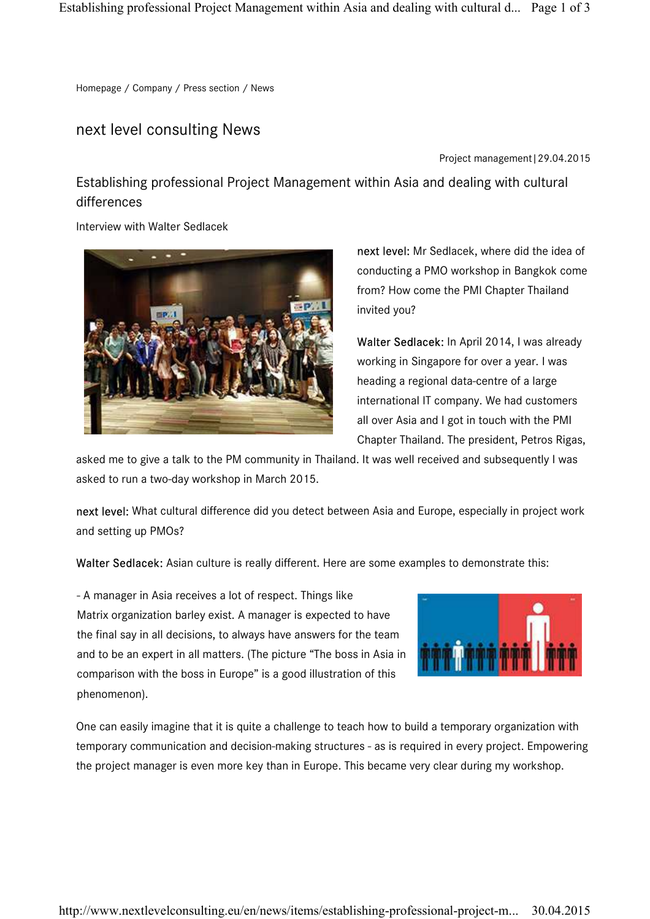Homepage / Company / Press section / News

## next level consulting News

Project management|29.04.2015

Establishing professional Project Management within Asia and dealing with cultural differences

Interview with Walter Sedlacek



next level: Mr Sedlacek, where did the idea of conducting a PMO workshop in Bangkok come from? How come the PMI Chapter Thailand invited you?

Walter Sedlacek: In April 2014, I was already working in Singapore for over a year. I was heading a regional data-centre of a large international IT company. We had customers all over Asia and I got in touch with the PMI Chapter Thailand. The president, Petros Rigas,

asked me to give a talk to the PM community in Thailand. It was well received and subsequently I was asked to run a two-day workshop in March 2015.

next level: What cultural difference did you detect between Asia and Europe, especially in project work and setting up PMOs?

Walter Sedlacek: Asian culture is really different. Here are some examples to demonstrate this:

- A manager in Asia receives a lot of respect. Things like Matrix organization barley exist. A manager is expected to have the final say in all decisions, to always have answers for the team and to be an expert in all matters. (The picture "The boss in Asia in comparison with the boss in Europe" is a good illustration of this phenomenon).



One can easily imagine that it is quite a challenge to teach how to build a temporary organization with temporary communication and decision-making structures - as is required in every project. Empowering the project manager is even more key than in Europe. This became very clear during my workshop.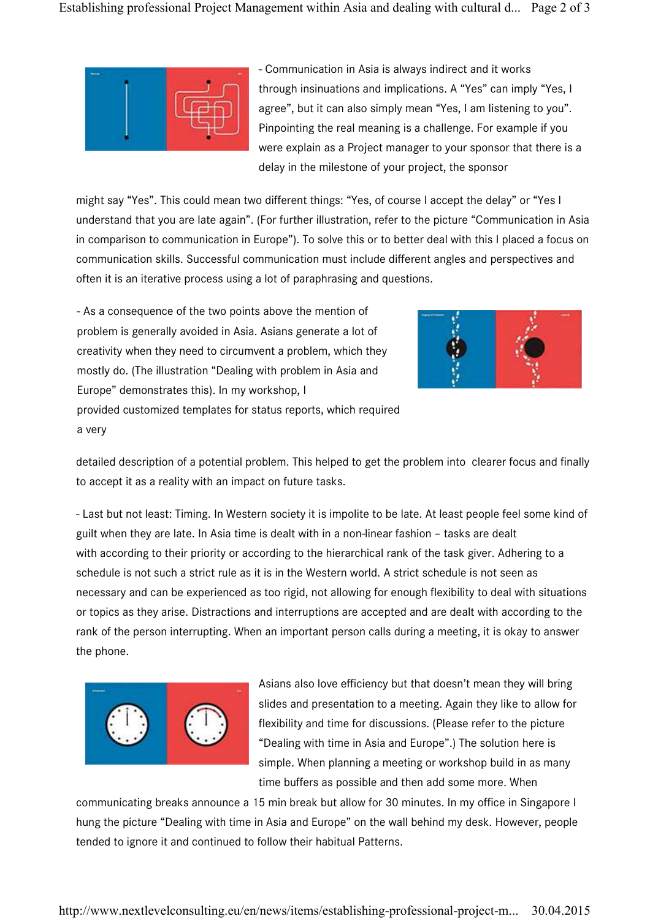

- Communication in Asia is always indirect and it works through insinuations and implications. A "Yes" can imply "Yes, I agree", but it can also simply mean "Yes, I am listening to you". Pinpointing the real meaning is a challenge. For example if you were explain as a Project manager to your sponsor that there is a delay in the milestone of your project, the sponsor

might say "Yes". This could mean two different things: "Yes, of course I accept the delay" or "Yes I understand that you are late again". (For further illustration, refer to the picture "Communication in Asia in comparison to communication in Europe"). To solve this or to better deal with this I placed a focus on communication skills. Successful communication must include different angles and perspectives and often it is an iterative process using a lot of paraphrasing and questions.

- As a consequence of the two points above the mention of problem is generally avoided in Asia. Asians generate a lot of creativity when they need to circumvent a problem, which they mostly do. (The illustration "Dealing with problem in Asia and Europe" demonstrates this). In my workshop, I provided customized templates for status reports, which required a very



detailed description of a potential problem. This helped to get the problem into clearer focus and finally to accept it as a reality with an impact on future tasks.

- Last but not least: Timing. In Western society it is impolite to be late. At least people feel some kind of guilt when they are late. In Asia time is dealt with in a non-linear fashion – tasks are dealt with according to their priority or according to the hierarchical rank of the task giver. Adhering to a schedule is not such a strict rule as it is in the Western world. A strict schedule is not seen as necessary and can be experienced as too rigid, not allowing for enough flexibility to deal with situations or topics as they arise. Distractions and interruptions are accepted and are dealt with according to the rank of the person interrupting. When an important person calls during a meeting, it is okay to answer the phone.



Asians also love efficiency but that doesn't mean they will bring slides and presentation to a meeting. Again they like to allow for flexibility and time for discussions. (Please refer to the picture "Dealing with time in Asia and Europe".) The solution here is simple. When planning a meeting or workshop build in as many time buffers as possible and then add some more. When

communicating breaks announce a 15 min break but allow for 30 minutes. In my office in Singapore I hung the picture "Dealing with time in Asia and Europe" on the wall behind my desk. However, people tended to ignore it and continued to follow their habitual Patterns.